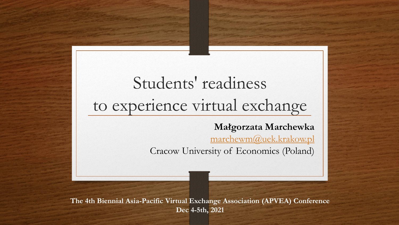## Students' readiness to experience virtual exchange

**Małgorzata Marchewka**

[marchewm@uek.krakow.pl](mailto:marchewm@uek.krakow.pl)

Cracow University of Economics (Poland)

**The 4th Biennial Asia-Pacific Virtual Exchange Association (APVEA) Conference Dec 4-5th, 2021**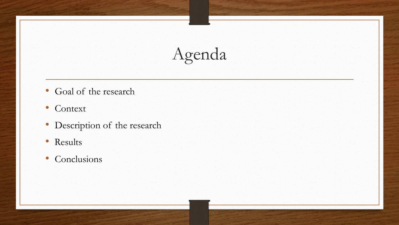# Agenda

- Goal of the research
- Context
- Description of the research
- Results
- Conclusions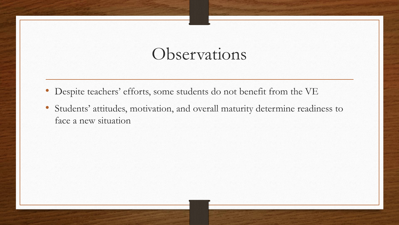#### Observations

- Despite teachers' efforts, some students do not benefit from the VE
- Students' attitudes, motivation, and overall maturity determine readiness to face a new situation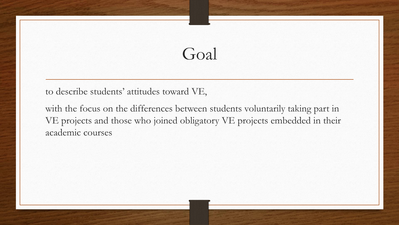### Goal

to describe students' attitudes toward VE,

with the focus on the differences between students voluntarily taking part in VE projects and those who joined obligatory VE projects embedded in their academic courses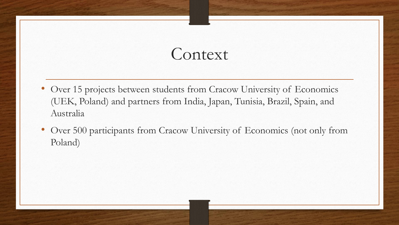### **Context**

- Over 15 projects between students from Cracow University of Economics (UEK, Poland) and partners from India, Japan, Tunisia, Brazil, Spain, and Australia
- Over 500 participants from Cracow University of Economics (not only from Poland)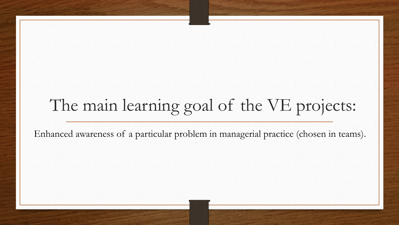## The main learning goal of the VE projects:

Enhanced awareness of a particular problem in managerial practice (chosen in teams).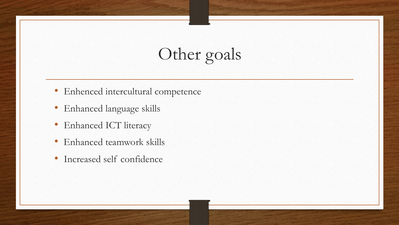## Other goals

- Enhenced intercultural competence
- Enhanced language skills
- Enhanced ICT literacy
- Enhanced teamwork skills
- Increased self confidence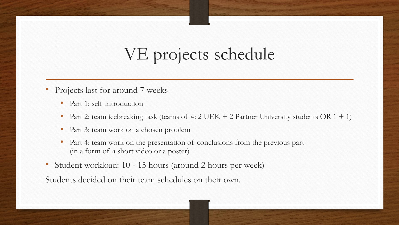### VE projects schedule

- Projects last for around 7 weeks
	- Part 1: self introduction
	- Part 2: team icebreaking task (teams of  $4:2 \text{ UEK} + 2 \text{ Partner University students OR } 1 + 1$ )
	- Part 3: team work on a chosen problem
	- Part 4: team work on the presentation of conclusions from the previous part (in a form of a short video or a poster)
- Student workload: 10 15 hours (around 2 hours per week)

Students decided on their team schedules on their own.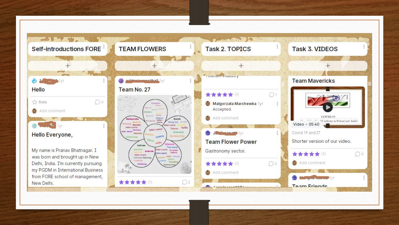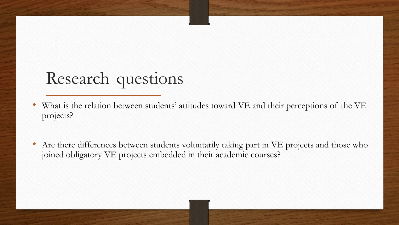### Research questions

- What is the relation between students' attitudes toward VE and their perceptions of the VE projects?
- Are there differences between students voluntarily taking part in VE projects and those who joined obligatory VE projects embedded in their academic courses?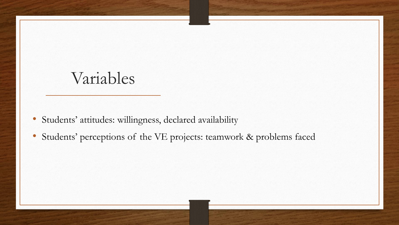#### Variables

- Students' attitudes: willingness, declared availability
- Students' perceptions of the VE projects: teamwork & problems faced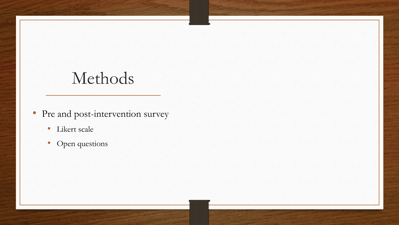### Methods

- Pre and post-intervention survey
	- Likert scale
	- Open questions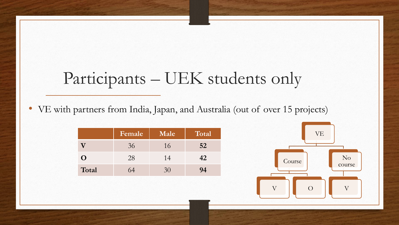### Participants – UEK students only

• VE with partners from India, Japan, and Australia (out of over 15 projects)

|       | Female | Male | Total |
|-------|--------|------|-------|
|       | 36     | 16   | 52    |
|       | 28     | 14   | 42    |
| Total | 64     | 30   | 94    |

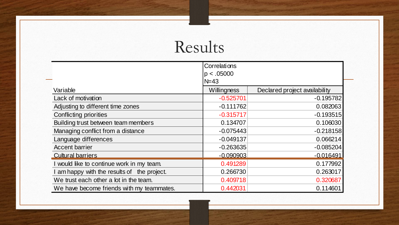### Results

|                                             | Correlations |                               |  |  |  |  |  |
|---------------------------------------------|--------------|-------------------------------|--|--|--|--|--|
|                                             | p < .05000   |                               |  |  |  |  |  |
|                                             | $N = 43$     |                               |  |  |  |  |  |
| Variable                                    | Willingness  | Declared project availability |  |  |  |  |  |
| Lack of motivation                          | $-0.525701$  | $-0.195782$                   |  |  |  |  |  |
| Adjusting to different time zones           | $-0.111762$  | 0.082063                      |  |  |  |  |  |
| <b>Conflicting priorities</b>               | $-0.315717$  | $-0.193515$                   |  |  |  |  |  |
| Building trust between team members         | 0.134707     | 0.106030                      |  |  |  |  |  |
| Managing conflict from a distance           | $-0.075443$  | $-0.218158$                   |  |  |  |  |  |
| Language differences                        | $-0.049137$  | 0.066214                      |  |  |  |  |  |
| <b>Accent barrier</b>                       | $-0.263635$  | $-0.085204$                   |  |  |  |  |  |
| <b>Cultural barriers</b>                    | $-0.090903$  | $-0.016491$                   |  |  |  |  |  |
| I would like to continue work in my team.   | 0.491289     | 0.177992                      |  |  |  |  |  |
| I am happy with the results of the project. | 0.266730     | 0.263017                      |  |  |  |  |  |
| We trust each other a lot in the team.      | 0.409718     | 0.320687                      |  |  |  |  |  |
| We have become friends with my teammates.   | 0.442031     | 0.114601                      |  |  |  |  |  |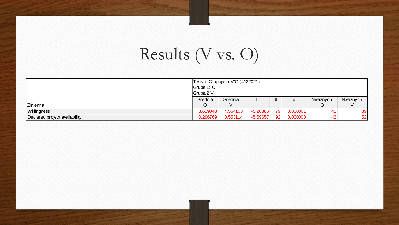## Results (V vs. O)

|                               | Testy t; Grupujaca: V/O (4122021)<br>Grupa 1: O<br>Grupa 2 V |          |            |    |                  |          |          |  |  |
|-------------------------------|--------------------------------------------------------------|----------|------------|----|------------------|----------|----------|--|--|
|                               | Srednia                                                      | Srednia  |            | dt | $\sqrt{ }$<br>IJ | Nwaznych | Nwaznych |  |  |
| Zmienna                       |                                                              |          |            |    |                  |          |          |  |  |
| Willingness                   | 3.619048                                                     | 4.564103 | $-5.26386$ | 79 | 0.000001         | 42       | 39       |  |  |
| Declared project availability | 0.296769                                                     | 0.553114 | $-5.69657$ | 92 | 0.000000         | 42       | 52       |  |  |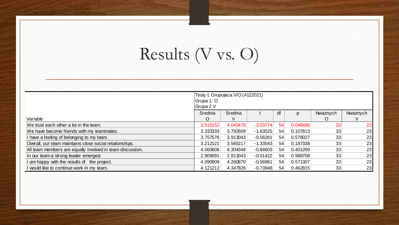## Results (V vs. O)

|                                                           | Testy t; Grupujaca: V/O (4122021)<br>Grupa 1: O<br>Grupa 2 V |          |            |    |          |          |          |  |
|-----------------------------------------------------------|--------------------------------------------------------------|----------|------------|----|----------|----------|----------|--|
|                                                           | Srednia                                                      | Srednia  |            | df | p        | Nwaznych | Nwaznych |  |
| Variable                                                  | O                                                            |          |            |    |          |          |          |  |
| We trust each other a lot in the team.                    | 3.515152                                                     | 4.043478 | $-2.03774$ | 54 | 0.046488 | 33       | 23       |  |
| We have become friends with my teammates.                 | 3.333333                                                     | 3.782609 | $-1.63525$ | 54 | 0.107813 | 33       | 23       |  |
| I have a feeling of belonging to my team.                 | 3.757576                                                     | 3.913043 | $-0.56261$ | 54 | 0.576027 | 33       | 23       |  |
| Overall, our team maintains close social relationships.   | 3.212121                                                     | 3.565217 | $-1.33543$ | 54 | 0.187338 | 33       | 23       |  |
| All team members are equally involved in team discussion. | 4.060606                                                     | 4.304348 | $-0.84603$ | 54 | 0.401269 | 33       | 23       |  |
| In our team a strong leader emerged.                      | 2.909091                                                     | 2.913043 | $-0.01422$ | 54 | 0.988708 | 33       | 23       |  |
| I am happy with the results of the project.               | 4.090909                                                     | 4.260870 | $-0.56961$ | 54 | 0.571307 | 33       | 23       |  |
| I would like to continue work in my team.                 | 4.121212                                                     | 4.347826 | $-0.73948$ | 54 | 0.462815 | 33       | 23       |  |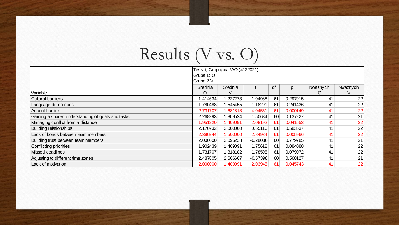## Results (V vs. O)

|                                                   | Testy t; Grupujaca: V/O (4122021) |          |            |    |          |          |          |  |
|---------------------------------------------------|-----------------------------------|----------|------------|----|----------|----------|----------|--|
|                                                   | Grupa 1: O                        |          |            |    |          |          |          |  |
|                                                   | Grupa 2 V                         |          |            |    |          |          |          |  |
|                                                   | Srednia                           | Srednia  |            | df | p        | Nwaznych | Nwaznych |  |
| Variable                                          | O                                 | V        |            |    |          | O        |          |  |
| <b>Cultural barriers</b>                          | 1.414634                          | 1.227273 | 1.04988    | 61 | 0.297915 | 41       | 22       |  |
| Language differences                              | 1.780488                          | .545455  | 1.18291    | 61 | 0.241436 | 41       | 22       |  |
| <b>Accent barrier</b>                             | 2.731707                          | 1.681818 | 4.04551    | 61 | 0.000149 | 41       | 22       |  |
| Gaining a shared understanding of goals and tasks | 2.268293                          | 1.809524 | 1.50634    | 60 | 0.137227 | 41       | 21       |  |
| Managing conflict from a distance                 | 1.951220                          | 1.409091 | 2.08192    | 61 | 0.041553 | 41       | 22       |  |
| <b>Building relationships</b>                     | 2.170732                          | 2.000000 | 0.55116    | 61 | 0.583537 | 41       | 22       |  |
| Lack of bonds between team members                | 2.390244                          | 1.500000 | 2.84934    | 61 | 0.005966 | 41       | 22       |  |
| Building trust between team members               | 2.000000                          | 2.095238 | $-0.28086$ | 60 | 0.779785 | 41       | 21       |  |
| Conflicting priorities                            | 1.902439                          | .409091  | 1.75612    | 61 | 0.084088 | 41       | 22       |  |
| Missed deadlines                                  | 1.731707                          | 1.318182 | 1.78598    | 61 | 0.079072 | 41       | 22       |  |
| Adjusting to different time zones                 | 2.487805                          | 2.666667 | $-0.57398$ | 60 | 0.568127 | 41       | 21       |  |
| Lack of motivation                                | 2.000000                          | 1.409091 | 2.03945    | 61 | 0.045743 | 41       | 22       |  |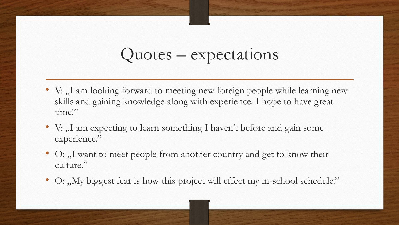## Quotes – expectations

- V: "I am looking forward to meeting new foreign people while learning new skills and gaining knowledge along with experience. I hope to have great time!"
- V: "I am expecting to learn something I haven't before and gain some experience."
- O: "I want to meet people from another country and get to know their culture."
- O: "My biggest fear is how this project will effect my in-school schedule."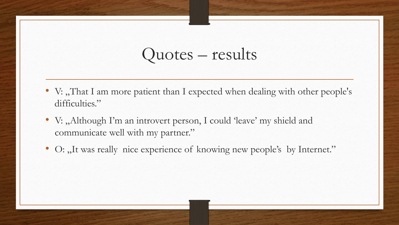#### Quotes – results

- V: "That I am more patient than I expected when dealing with other people's difficulties."
- V: "Although I'm an introvert person, I could 'leave' my shield and communicate well with my partner."
- O: "It was really nice experience of knowing new people's by Internet."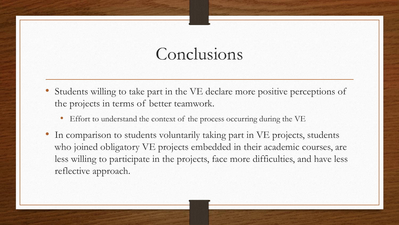### Conclusions

- Students willing to take part in the VE declare more positive perceptions of the projects in terms of better teamwork.
	- Effort to understand the context of the process occurring during the VE
- In comparison to students voluntarily taking part in VE projects, students who joined obligatory VE projects embedded in their academic courses, are less willing to participate in the projects, face more difficulties, and have less reflective approach.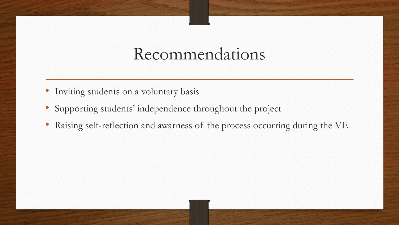#### Recommendations

- Inviting students on a voluntary basis
- Supporting students' independence throughout the project
- Raising self-reflection and awarness of the process occurring during the VE